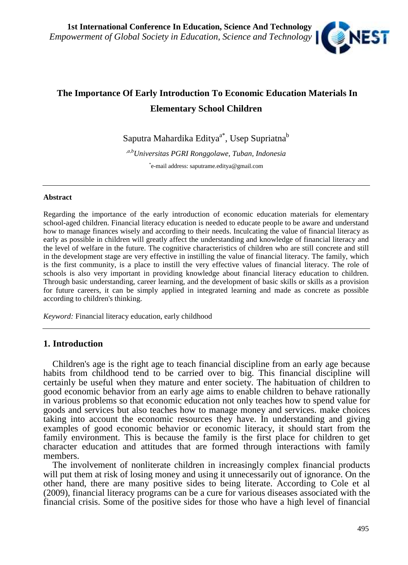

# **The Importance Of Early Introduction To Economic Education Materials In Elementary School Children**

Saputra Mahardika Editya $^{\mathrm{a}^{\mathrm{*}}}$ , Usep Supriatna $^{\mathrm{b}}$ 

*,a,bUniversitas PGRI Ronggolawe, Tuban, Indonesia* \*e-mail address: saputrame.editya@gmail.com

#### **Abstract**

Regarding the importance of the early introduction of economic education materials for elementary school-aged children. Financial literacy education is needed to educate people to be aware and understand how to manage finances wisely and according to their needs. Inculcating the value of financial literacy as early as possible in children will greatly affect the understanding and knowledge of financial literacy and the level of welfare in the future. The cognitive characteristics of children who are still concrete and still in the development stage are very effective in instilling the value of financial literacy. The family, which is the first community, is a place to instill the very effective values of financial literacy. The role of schools is also very important in providing knowledge about financial literacy education to children. Through basic understanding, career learning, and the development of basic skills or skills as a provision for future careers, it can be simply applied in integrated learning and made as concrete as possible according to children's thinking.

*Keyword:* Financial literacy education, early childhood

## **1. Introduction**

Children's age is the right age to teach financial discipline from an early age because habits from childhood tend to be carried over to big. This financial discipline will certainly be useful when they mature and enter society. The habituation of children to good economic behavior from an early age aims to enable children to behave rationally in various problems so that economic education not only teaches how to spend value for goods and services but also teaches how to manage money and services. make choices taking into account the economic resources they have. In understanding and giving examples of good economic behavior or economic literacy, it should start from the family environment. This is because the family is the first place for children to get character education and attitudes that are formed through interactions with family members.

The involvement of nonliterate children in increasingly complex financial products will put them at risk of losing money and using it unnecessarily out of ignorance. On the other hand, there are many positive sides to being literate. According to Cole et al (2009), financial literacy programs can be a cure for various diseases associated with the financial crisis. Some of the positive sides for those who have a high level of financial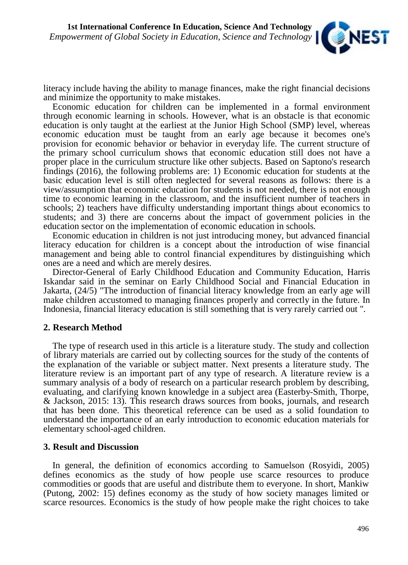

literacy include having the ability to manage finances, make the right financial decisions and minimize the opportunity to make mistakes.

Economic education for children can be implemented in a formal environment through economic learning in schools. However, what is an obstacle is that economic education is only taught at the earliest at the Junior High School (SMP) level, whereas economic education must be taught from an early age because it becomes one's provision for economic behavior or behavior in everyday life. The current structure of the primary school curriculum shows that economic education still does not have a proper place in the curriculum structure like other subjects. Based on Saptono's research findings (2016), the following problems are: 1) Economic education for students at the basic education level is still often neglected for several reasons as follows: there is a view/assumption that economic education for students is not needed, there is not enough time to economic learning in the classroom, and the insufficient number of teachers in schools; 2) teachers have difficulty understanding important things about economics to students; and 3) there are concerns about the impact of government policies in the education sector on the implementation of economic education in schools.

Economic education in children is not just introducing money, but advanced financial literacy education for children is a concept about the introduction of wise financial management and being able to control financial expenditures by distinguishing which ones are a need and which are merely desires.

Director-General of Early Childhood Education and Community Education, Harris Iskandar said in the seminar on Early Childhood Social and Financial Education in Jakarta, (24/5) "The introduction of financial literacy knowledge from an early age will make children accustomed to managing finances properly and correctly in the future. In Indonesia, financial literacy education is still something that is very rarely carried out ".

## **2. Research Method**

The type of research used in this article is a literature study. The study and collection of library materials are carried out by collecting sources for the study of the contents of the explanation of the variable or subject matter. Next presents a literature study. The literature review is an important part of any type of research. A literature review is a summary analysis of a body of research on a particular research problem by describing, evaluating, and clarifying known knowledge in a subject area (Easterby-Smith, Thorpe, & Jackson, 2015: 13). This research draws sources from books, journals, and research that has been done. This theoretical reference can be used as a solid foundation to understand the importance of an early introduction to economic education materials for elementary school-aged children.

## **3. Result and Discussion**

In general, the definition of economics according to Samuelson (Rosyidi, 2005) defines economics as the study of how people use scarce resources to produce commodities or goods that are useful and distribute them to everyone. In short, Mankiw (Putong, 2002: 15) defines economy as the study of how society manages limited or scarce resources. Economics is the study of how people make the right choices to take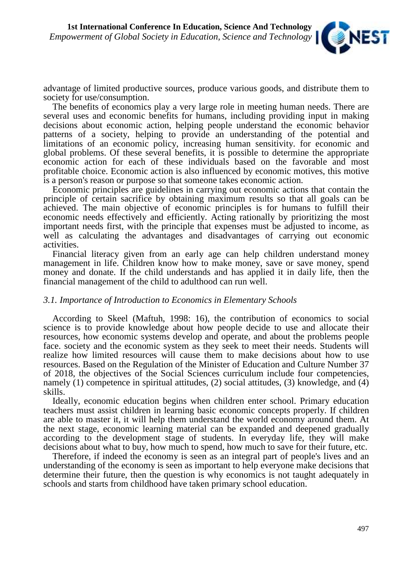

advantage of limited productive sources, produce various goods, and distribute them to society for use/consumption.

The benefits of economics play a very large role in meeting human needs. There are several uses and economic benefits for humans, including providing input in making decisions about economic action, helping people understand the economic behavior patterns of a society, helping to provide an understanding of the potential and limitations of an economic policy, increasing human sensitivity. for economic and global problems. Of these several benefits, it is possible to determine the appropriate economic action for each of these individuals based on the favorable and most profitable choice. Economic action is also influenced by economic motives, this motive is a person's reason or purpose so that someone takes economic action.

Economic principles are guidelines in carrying out economic actions that contain the principle of certain sacrifice by obtaining maximum results so that all goals can be achieved. The main objective of economic principles is for humans to fulfill their economic needs effectively and efficiently. Acting rationally by prioritizing the most important needs first, with the principle that expenses must be adjusted to income, as well as calculating the advantages and disadvantages of carrying out economic activities.

Financial literacy given from an early age can help children understand money management in life. Children know how to make money, save or save money, spend money and donate. If the child understands and has applied it in daily life, then the financial management of the child to adulthood can run well.

## *3.1. Importance of Introduction to Economics in Elementary Schools*

According to Skeel (Maftuh, 1998: 16), the contribution of economics to social science is to provide knowledge about how people decide to use and allocate their resources, how economic systems develop and operate, and about the problems people face. society and the economic system as they seek to meet their needs. Students will realize how limited resources will cause them to make decisions about how to use resources. Based on the Regulation of the Minister of Education and Culture Number 37 of 2018, the objectives of the Social Sciences curriculum include four competencies, namely (1) competence in spiritual attitudes, (2) social attitudes, (3) knowledge, and (4) skills.

Ideally, economic education begins when children enter school. Primary education teachers must assist children in learning basic economic concepts properly. If children are able to master it, it will help them understand the world economy around them. At the next stage, economic learning material can be expanded and deepened gradually according to the development stage of students. In everyday life, they will make decisions about what to buy, how much to spend, how much to save for their future, etc.

Therefore, if indeed the economy is seen as an integral part of people's lives and an understanding of the economy is seen as important to help everyone make decisions that determine their future, then the question is why economics is not taught adequately in schools and starts from childhood have taken primary school education.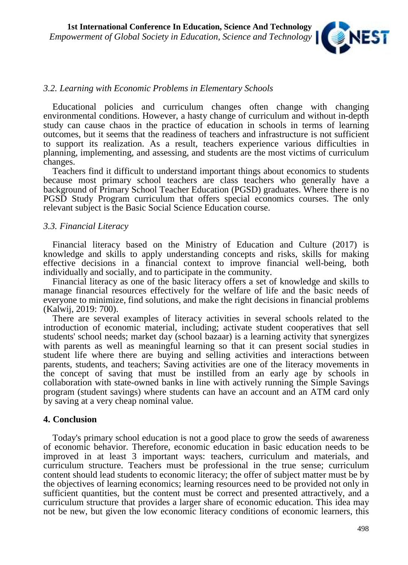

#### *3.2. Learning with Economic Problems in Elementary Schools*

Educational policies and curriculum changes often change with changing environmental conditions. However, a hasty change of curriculum and without in-depth study can cause chaos in the practice of education in schools in terms of learning outcomes, but it seems that the readiness of teachers and infrastructure is not sufficient to support its realization. As a result, teachers experience various difficulties in planning, implementing, and assessing, and students are the most victims of curriculum changes.

Teachers find it difficult to understand important things about economics to students because most primary school teachers are class teachers who generally have a background of Primary School Teacher Education (PGSD) graduates. Where there is no PGSD Study Program curriculum that offers special economics courses. The only relevant subject is the Basic Social Science Education course.

#### *3.3. Financial Literacy*

Financial literacy based on the Ministry of Education and Culture (2017) is knowledge and skills to apply understanding concepts and risks, skills for making effective decisions in a financial context to improve financial well-being, both individually and socially, and to participate in the community.

Financial literacy as one of the basic literacy offers a set of knowledge and skills to manage financial resources effectively for the welfare of life and the basic needs of everyone to minimize, find solutions, and make the right decisions in financial problems (Kalwij, 2019: 700).

There are several examples of literacy activities in several schools related to the introduction of economic material, including; activate student cooperatives that sell students' school needs; market day (school bazaar) is a learning activity that synergizes with parents as well as meaningful learning so that it can present social studies in student life where there are buying and selling activities and interactions between parents, students, and teachers; Saving activities are one of the literacy movements in the concept of saving that must be instilled from an early age by schools in collaboration with state-owned banks in line with actively running the Simple Savings program (student savings) where students can have an account and an ATM card only by saving at a very cheap nominal value.

#### **4. Conclusion**

Today's primary school education is not a good place to grow the seeds of awareness of economic behavior. Therefore, economic education in basic education needs to be improved in at least 3 important ways: teachers, curriculum and materials, and curriculum structure. Teachers must be professional in the true sense; curriculum content should lead students to economic literacy; the offer of subject matter must be by the objectives of learning economics; learning resources need to be provided not only in sufficient quantities, but the content must be correct and presented attractively, and a curriculum structure that provides a larger share of economic education. This idea may not be new, but given the low economic literacy conditions of economic learners, this